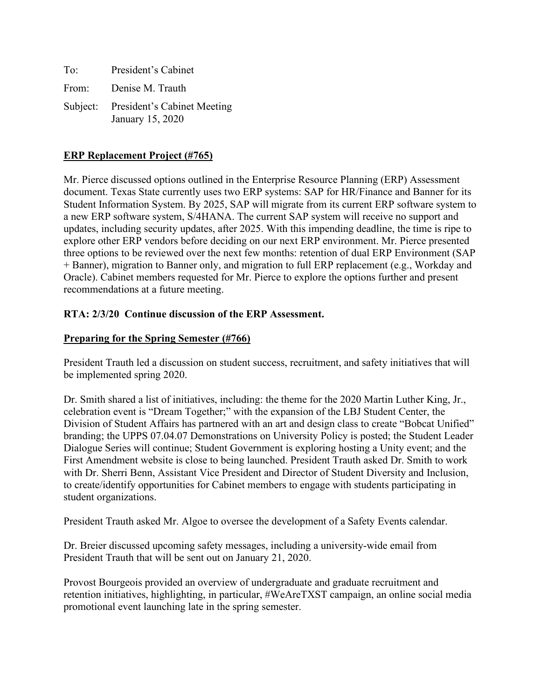| To: | President's Cabinet                                      |
|-----|----------------------------------------------------------|
|     | From: Denise M. Trauth                                   |
|     | Subject: President's Cabinet Meeting<br>January 15, 2020 |

# **ERP Replacement Project (#765)**

Mr. Pierce discussed options outlined in the Enterprise Resource Planning (ERP) Assessment document. Texas State currently uses two ERP systems: SAP for HR/Finance and Banner for its Student Information System. By 2025, SAP will migrate from its current ERP software system to a new ERP software system, S/4HANA. The current SAP system will receive no support and updates, including security updates, after 2025. With this impending deadline, the time is ripe to explore other ERP vendors before deciding on our next ERP environment. Mr. Pierce presented three options to be reviewed over the next few months: retention of dual ERP Environment (SAP + Banner), migration to Banner only, and migration to full ERP replacement (e.g., Workday and Oracle). Cabinet members requested for Mr. Pierce to explore the options further and present recommendations at a future meeting.

## **RTA: 2/3/20 Continue discussion of the ERP Assessment.**

### **Preparing for the Spring Semester (#766)**

President Trauth led a discussion on student success, recruitment, and safety initiatives that will be implemented spring 2020.

Dr. Smith shared a list of initiatives, including: the theme for the 2020 Martin Luther King, Jr., celebration event is "Dream Together;" with the expansion of the LBJ Student Center, the Division of Student Affairs has partnered with an art and design class to create "Bobcat Unified" branding; the UPPS 07.04.07 Demonstrations on University Policy is posted; the Student Leader Dialogue Series will continue; Student Government is exploring hosting a Unity event; and the First Amendment website is close to being launched. President Trauth asked Dr. Smith to work with Dr. Sherri Benn, Assistant Vice President and Director of Student Diversity and Inclusion, to create/identify opportunities for Cabinet members to engage with students participating in student organizations.

President Trauth asked Mr. Algoe to oversee the development of a Safety Events calendar.

Dr. Breier discussed upcoming safety messages, including a university-wide email from President Trauth that will be sent out on January 21, 2020.

Provost Bourgeois provided an overview of undergraduate and graduate recruitment and retention initiatives, highlighting, in particular, #WeAreTXST campaign, an online social media promotional event launching late in the spring semester.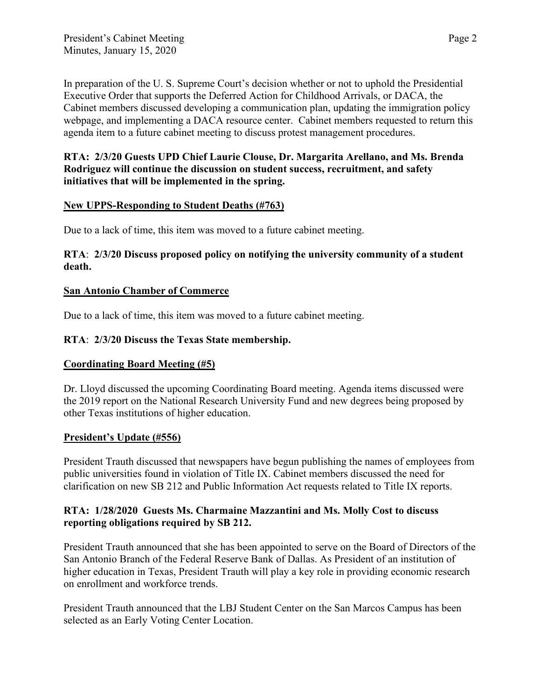In preparation of the U. S. Supreme Court's decision whether or not to uphold the Presidential Executive Order that supports the Deferred Action for Childhood Arrivals, or DACA, the Cabinet members discussed developing a communication plan, updating the immigration policy webpage, and implementing a DACA resource center. Cabinet members requested to return this agenda item to a future cabinet meeting to discuss protest management procedures.

### **RTA: 2/3/20 Guests UPD Chief Laurie Clouse, Dr. Margarita Arellano, and Ms. Brenda Rodriguez will continue the discussion on student success, recruitment, and safety initiatives that will be implemented in the spring.**

### **New UPPS-Responding to Student Deaths (#763)**

Due to a lack of time, this item was moved to a future cabinet meeting.

## **RTA**: **2/3/20 Discuss proposed policy on notifying the university community of a student death.**

### **San Antonio Chamber of Commerce**

Due to a lack of time, this item was moved to a future cabinet meeting.

## **RTA**: **2/3/20 Discuss the Texas State membership.**

## **Coordinating Board Meeting (#5)**

Dr. Lloyd discussed the upcoming Coordinating Board meeting. Agenda items discussed were the 2019 report on the National Research University Fund and new degrees being proposed by other Texas institutions of higher education.

#### **President's Update (#556)**

President Trauth discussed that newspapers have begun publishing the names of employees from public universities found in violation of Title IX. Cabinet members discussed the need for clarification on new SB 212 and Public Information Act requests related to Title IX reports.

## **RTA: 1/28/2020 Guests Ms. Charmaine Mazzantini and Ms. Molly Cost to discuss reporting obligations required by SB 212.**

President Trauth announced that she has been appointed to serve on the Board of Directors of the San Antonio Branch of the Federal Reserve Bank of Dallas. As President of an institution of higher education in Texas, President Trauth will play a key role in providing economic research on enrollment and workforce trends.

President Trauth announced that the LBJ Student Center on the San Marcos Campus has been selected as an Early Voting Center Location.